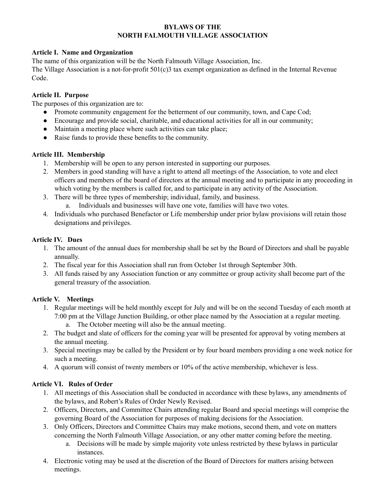#### **BYLAWS OF THE NORTH FALMOUTH VILLAGE ASSOCIATION**

### **Article I. Name and Organization**

The name of this organization will be the North Falmouth Village Association, Inc.

The Village Association is a not-for-profit 501(c)3 tax exempt organization as defined in the Internal Revenue Code.

#### **Article II. Purpose**

The purposes of this organization are to:

- Promote community engagement for the betterment of our community, town, and Cape Cod;
- Encourage and provide social, charitable, and educational activities for all in our community;
- Maintain a meeting place where such activities can take place;
- Raise funds to provide these benefits to the community.

### **Article III. Membership**

- 1. Membership will be open to any person interested in supporting our purposes.
- 2. Members in good standing will have a right to attend all meetings of the Association, to vote and elect officers and members of the board of directors at the annual meeting and to participate in any proceeding in which voting by the members is called for, and to participate in any activity of the Association.
- 3. There will be three types of membership; individual, family, and business.
	- a. Individuals and businesses will have one vote, families will have two votes.
- 4. Individuals who purchased Benefactor or Life membership under prior bylaw provisions will retain those designations and privileges.

### **Article IV. Dues**

- 1. The amount of the annual dues for membership shall be set by the Board of Directors and shall be payable annually.
- 2. The fiscal year for this Association shall run from October 1st through September 30th.
- 3. All funds raised by any Association function or any committee or group activity shall become part of the general treasury of the association.

### **Article V. Meetings**

- 1. Regular meetings will be held monthly except for July and will be on the second Tuesday of each month at 7:00 pm at the Village Junction Building, or other place named by the Association at a regular meeting. a. The October meeting will also be the annual meeting.
- 2. The budget and slate of officers for the coming year will be presented for approval by voting members at the annual meeting.
- 3. Special meetings may be called by the President or by four board members providing a one week notice for such a meeting.
- 4. A quorum will consist of twenty members or 10% of the active membership, whichever is less.

### **Article VI. Rules of Order**

- 1. All meetings of this Association shall be conducted in accordance with these bylaws, any amendments of the bylaws, and Robert's Rules of Order Newly Revised.
- 2. Officers, Directors, and Committee Chairs attending regular Board and special meetings will comprise the governing Board of the Association for purposes of making decisions for the Association.
- 3. Only Officers, Directors and Committee Chairs may make motions, second them, and vote on matters concerning the North Falmouth Village Association, or any other matter coming before the meeting.
	- a. Decisions will be made by simple majority vote unless restricted by these bylaws in particular instances.
- 4. Electronic voting may be used at the discretion of the Board of Directors for matters arising between meetings.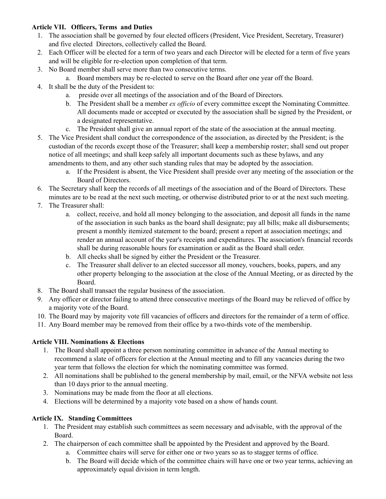### **Article VII. Officers, Terms and Duties**

- 1. The association shall be governed by four elected officers (President, Vice President, Secretary, Treasurer) and five elected Directors, collectively called the Board.
- 2. Each Officer will be elected for a term of two years and each Director will be elected for a term of five years and will be eligible for re-election upon completion of that term.
- 3. No Board member shall serve more than two consecutive terms.
	- a. Board members may be re-elected to serve on the Board after one year off the Board.
- 4. It shall be the duty of the President to:
	- a. preside over all meetings of the association and of the Board of Directors.
	- b. The President shall be a member *ex of icio* of every committee except the Nominating Committee. All documents made or accepted or executed by the association shall be signed by the President, or a designated representative.
	- c. The President shall give an annual report of the state of the association at the annual meeting.
- 5. The Vice President shall conduct the correspondence of the association, as directed by the President; is the custodian of the records except those of the Treasurer; shall keep a membership roster; shall send out proper notice of all meetings; and shall keep safely all important documents such as these bylaws, and any amendments to them, and any other such standing rules that may be adopted by the association.
	- a. If the President is absent, the Vice President shall preside over any meeting of the association or the Board of Directors.
- 6. The Secretary shall keep the records of all meetings of the association and of the Board of Directors. These minutes are to be read at the next such meeting, or otherwise distributed prior to or at the next such meeting.
- 7. The Treasurer shall:
	- a. collect, receive, and hold all money belonging to the association, and deposit all funds in the name of the association in such banks as the board shall designate; pay all bills; make all disbursements; present a monthly itemized statement to the board; present a report at association meetings; and render an annual account of the year's receipts and expenditures. The association's financial records shall be during reasonable hours for examination or audit as the Board shall order.
	- b. All checks shall be signed by either the President or the Treasurer.
	- c. The Treasurer shall deliver to an elected successor all money, vouchers, books, papers, and any other property belonging to the association at the close of the Annual Meeting, or as directed by the Board.
- 8. The Board shall transact the regular business of the association.
- 9. Any officer or director failing to attend three consecutive meetings of the Board may be relieved of office by a majority vote of the Board.
- 10. The Board may by majority vote fill vacancies of officers and directors for the remainder of a term of office.
- 11. Any Board member may be removed from their office by a two-thirds vote of the membership.

# **Article VIII. Nominations & Elections**

- 1. The Board shall appoint a three person nominating committee in advance of the Annual meeting to recommend a slate of officers for election at the Annual meeting and to fill any vacancies during the two year term that follows the election for which the nominating committee was formed.
- 2. All nominations shall be published to the general membership by mail, email, or the NFVA website not less than 10 days prior to the annual meeting.
- 3. Nominations may be made from the floor at all elections.
- 4. Elections will be determined by a majority vote based on a show of hands count.

# **Article IX. Standing Committees**

- 1. The President may establish such committees as seem necessary and advisable, with the approval of the Board.
- 2. The chairperson of each committee shall be appointed by the President and approved by the Board.
	- a. Committee chairs will serve for either one or two years so as to stagger terms of office.
	- b. The Board will decide which of the committee chairs will have one or two year terms, achieving an approximately equal division in term length.